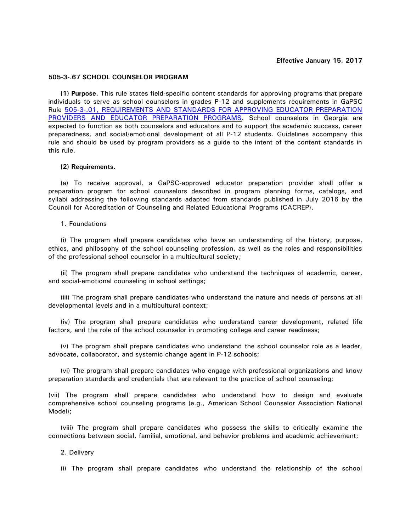# **Effective January 15, 2017**

# **505-3-.67 SCHOOL COUNSELOR PROGRAM**

**(1) Purpose.** This rule states field-specific content standards for approving programs that prepare individuals to serve as school counselors in grades P-12 and supplements requirements in GaPSC Rule [505-3-.01, REQUIREMENTS AND STANDARDS FOR APPROVING EDUCATOR PREPARATION](http://www.gapsc.com/Rules/Current/EducatorPreparation/505-3-.01.pdf?dt=636197259968774112)  [PROVIDERS AND EDUCATOR PREPARATION PROGRAMS.](http://www.gapsc.com/Rules/Current/EducatorPreparation/505-3-.01.pdf?dt=636197259968774112) School counselors in Georgia are expected to function as both counselors and educators and to support the academic success, career preparedness, and social/emotional development of all P-12 students. Guidelines accompany this rule and should be used by program providers as a guide to the intent of the content standards in this rule.

### **(2) Requirements.**

(a) To receive approval, a GaPSC-approved educator preparation provider shall offer a preparation program for school counselors described in program planning forms, catalogs, and syllabi addressing the following standards adapted from standards published in July 2016 by the Council for Accreditation of Counseling and Related Educational Programs (CACREP).

### 1. Foundations

(i) The program shall prepare candidates who have an understanding of the history, purpose, ethics, and philosophy of the school counseling profession, as well as the roles and responsibilities of the professional school counselor in a multicultural society;

(ii) The program shall prepare candidates who understand the techniques of academic, career, and social-emotional counseling in school settings;

(iii) The program shall prepare candidates who understand the nature and needs of persons at all developmental levels and in a multicultural context;

(iv) The program shall prepare candidates who understand career development, related life factors, and the role of the school counselor in promoting college and career readiness;

(v) The program shall prepare candidates who understand the school counselor role as a leader, advocate, collaborator, and systemic change agent in P-12 schools;

(vi) The program shall prepare candidates who engage with professional organizations and know preparation standards and credentials that are relevant to the practice of school counseling;

(vii) The program shall prepare candidates who understand how to design and evaluate comprehensive school counseling programs (e.g., American School Counselor Association National Model);

(viii) The program shall prepare candidates who possess the skills to critically examine the connections between social, familial, emotional, and behavior problems and academic achievement;

## 2. Delivery

(i) The program shall prepare candidates who understand the relationship of the school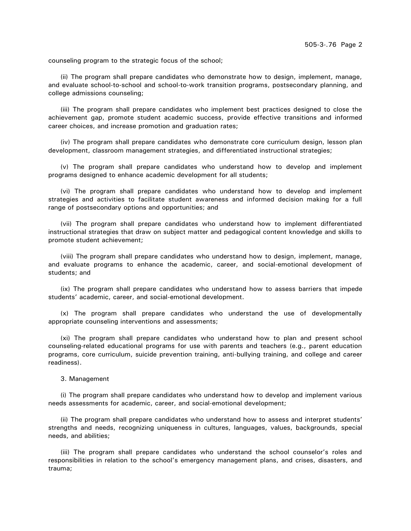counseling program to the strategic focus of the school;

(ii) The program shall prepare candidates who demonstrate how to design, implement, manage, and evaluate school-to-school and school-to-work transition programs, postsecondary planning, and college admissions counseling;

(iii) The program shall prepare candidates who implement best practices designed to close the achievement gap, promote student academic success, provide effective transitions and informed career choices, and increase promotion and graduation rates;

(iv) The program shall prepare candidates who demonstrate core curriculum design, lesson plan development, classroom management strategies, and differentiated instructional strategies;

(v) The program shall prepare candidates who understand how to develop and implement programs designed to enhance academic development for all students;

(vi) The program shall prepare candidates who understand how to develop and implement strategies and activities to facilitate student awareness and informed decision making for a full range of postsecondary options and opportunities; and

(vii) The program shall prepare candidates who understand how to implement differentiated instructional strategies that draw on subject matter and pedagogical content knowledge and skills to promote student achievement;

(viii) The program shall prepare candidates who understand how to design, implement, manage, and evaluate programs to enhance the academic, career, and social-emotional development of students; and

(ix) The program shall prepare candidates who understand how to assess barriers that impede students' academic, career, and social-emotional development.

(x) The program shall prepare candidates who understand the use of developmentally appropriate counseling interventions and assessments;

(xi) The program shall prepare candidates who understand how to plan and present school counseling-related educational programs for use with parents and teachers (e.g., parent education programs, core curriculum, suicide prevention training, anti-bullying training, and college and career readiness).

3. Management

(i) The program shall prepare candidates who understand how to develop and implement various needs assessments for academic, career, and social-emotional development;

(ii) The program shall prepare candidates who understand how to assess and interpret students' strengths and needs, recognizing uniqueness in cultures, languages, values, backgrounds, special needs, and abilities;

(iii) The program shall prepare candidates who understand the school counselor's roles and responsibilities in relation to the school's emergency management plans, and crises, disasters, and trauma;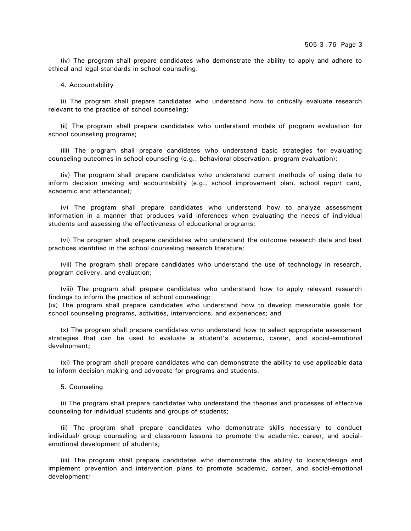(iv) The program shall prepare candidates who demonstrate the ability to apply and adhere to ethical and legal standards in school counseling.

## 4. Accountability

(i) The program shall prepare candidates who understand how to critically evaluate research relevant to the practice of school counseling;

(ii) The program shall prepare candidates who understand models of program evaluation for school counseling programs;

(iii) The program shall prepare candidates who understand basic strategies for evaluating counseling outcomes in school counseling (e.g., behavioral observation, program evaluation);

(iv) The program shall prepare candidates who understand current methods of using data to inform decision making and accountability (e.g., school improvement plan, school report card, academic and attendance);

(v) The program shall prepare candidates who understand how to analyze assessment information in a manner that produces valid inferences when evaluating the needs of individual students and assessing the effectiveness of educational programs;

(vi) The program shall prepare candidates who understand the outcome research data and best practices identified in the school counseling research literature;

(vii) The program shall prepare candidates who understand the use of technology in research, program delivery, and evaluation;

(viii) The program shall prepare candidates who understand how to apply relevant research findings to inform the practice of school counseling;

(ix) The program shall prepare candidates who understand how to develop measurable goals for school counseling programs, activities, interventions, and experiences; and

(x) The program shall prepare candidates who understand how to select appropriate assessment strategies that can be used to evaluate a student's academic, career, and social-emotional development;

(xi) The program shall prepare candidates who can demonstrate the ability to use applicable data to inform decision making and advocate for programs and students.

5. Counseling

(i) The program shall prepare candidates who understand the theories and processes of effective counseling for individual students and groups of students;

(ii) The program shall prepare candidates who demonstrate skills necessary to conduct individual/ group counseling and classroom lessons to promote the academic, career, and socialemotional development of students;

(iii) The program shall prepare candidates who demonstrate the ability to locate/design and implement prevention and intervention plans to promote academic, career, and social-emotional development;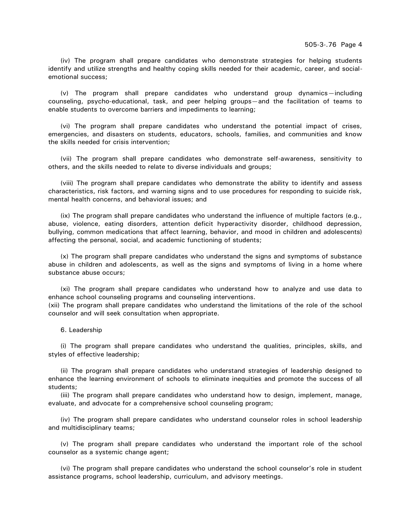(iv) The program shall prepare candidates who demonstrate strategies for helping students identify and utilize strengths and healthy coping skills needed for their academic, career, and socialemotional success;

(v) The program shall prepare candidates who understand group dynamics—including counseling, psycho-educational, task, and peer helping groups—and the facilitation of teams to enable students to overcome barriers and impediments to learning;

(vi) The program shall prepare candidates who understand the potential impact of crises, emergencies, and disasters on students, educators, schools, families, and communities and know the skills needed for crisis intervention;

(vii) The program shall prepare candidates who demonstrate self-awareness, sensitivity to others, and the skills needed to relate to diverse individuals and groups;

(viii) The program shall prepare candidates who demonstrate the ability to identify and assess characteristics, risk factors, and warning signs and to use procedures for responding to suicide risk, mental health concerns, and behavioral issues; and

(ix) The program shall prepare candidates who understand the influence of multiple factors (e.g., abuse, violence, eating disorders, attention deficit hyperactivity disorder, childhood depression, bullying, common medications that affect learning, behavior, and mood in children and adolescents) affecting the personal, social, and academic functioning of students;

(x) The program shall prepare candidates who understand the signs and symptoms of substance abuse in children and adolescents, as well as the signs and symptoms of living in a home where substance abuse occurs;

(xi) The program shall prepare candidates who understand how to analyze and use data to enhance school counseling programs and counseling interventions.

(xii) The program shall prepare candidates who understand the limitations of the role of the school counselor and will seek consultation when appropriate.

### 6. Leadership

(i) The program shall prepare candidates who understand the qualities, principles, skills, and styles of effective leadership;

(ii) The program shall prepare candidates who understand strategies of leadership designed to enhance the learning environment of schools to eliminate inequities and promote the success of all students;

(iii) The program shall prepare candidates who understand how to design, implement, manage, evaluate, and advocate for a comprehensive school counseling program;

(iv) The program shall prepare candidates who understand counselor roles in school leadership and multidisciplinary teams;

(v) The program shall prepare candidates who understand the important role of the school counselor as a systemic change agent;

(vi) The program shall prepare candidates who understand the school counselor's role in student assistance programs, school leadership, curriculum, and advisory meetings.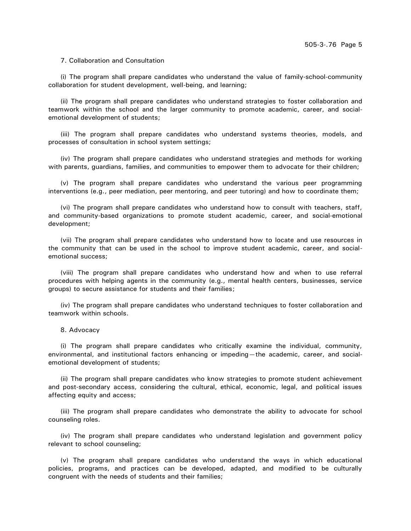7. Collaboration and Consultation

(i) The program shall prepare candidates who understand the value of family-school-community collaboration for student development, well-being, and learning;

(ii) The program shall prepare candidates who understand strategies to foster collaboration and teamwork within the school and the larger community to promote academic, career, and socialemotional development of students;

(iii) The program shall prepare candidates who understand systems theories, models, and processes of consultation in school system settings;

(iv) The program shall prepare candidates who understand strategies and methods for working with parents, guardians, families, and communities to empower them to advocate for their children;

(v) The program shall prepare candidates who understand the various peer programming interventions (e.g., peer mediation, peer mentoring, and peer tutoring) and how to coordinate them;

(vi) The program shall prepare candidates who understand how to consult with teachers, staff, and community-based organizations to promote student academic, career, and social-emotional development;

(vii) The program shall prepare candidates who understand how to locate and use resources in the community that can be used in the school to improve student academic, career, and socialemotional success;

(viii) The program shall prepare candidates who understand how and when to use referral procedures with helping agents in the community (e.g., mental health centers, businesses, service groups) to secure assistance for students and their families;

(iv) The program shall prepare candidates who understand techniques to foster collaboration and teamwork within schools.

### 8. Advocacy

(i) The program shall prepare candidates who critically examine the individual, community, environmental, and institutional factors enhancing or impeding—the academic, career, and socialemotional development of students;

(ii) The program shall prepare candidates who know strategies to promote student achievement and post-secondary access, considering the cultural, ethical, economic, legal, and political issues affecting equity and access;

(iii) The program shall prepare candidates who demonstrate the ability to advocate for school counseling roles.

(iv) The program shall prepare candidates who understand legislation and government policy relevant to school counseling;

(v) The program shall prepare candidates who understand the ways in which educational policies, programs, and practices can be developed, adapted, and modified to be culturally congruent with the needs of students and their families;